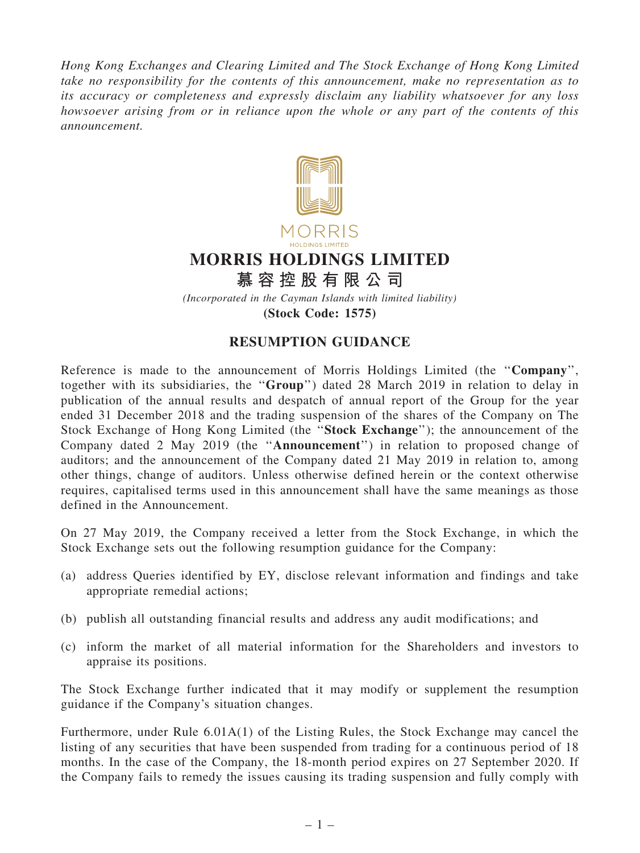Hong Kong Exchanges and Clearing Limited and The Stock Exchange of Hong Kong Limited take no responsibility for the contents of this announcement, make no representation as to its accuracy or completeness and expressly disclaim any liability whatsoever for any loss howsoever arising from or in reliance upon the whole or any part of the contents of this announcement.



## MORRIS HOLDINGS LIMITED

慕 容 控 股 有 限 公 司

(Incorporated in the Cayman Islands with limited liability)

(Stock Code: 1575)

## RESUMPTION GUIDANCE

Reference is made to the announcement of Morris Holdings Limited (the ''Company'', together with its subsidiaries, the ''Group'') dated 28 March 2019 in relation to delay in publication of the annual results and despatch of annual report of the Group for the year ended 31 December 2018 and the trading suspension of the shares of the Company on The Stock Exchange of Hong Kong Limited (the ''Stock Exchange''); the announcement of the Company dated 2 May 2019 (the ''Announcement'') in relation to proposed change of auditors; and the announcement of the Company dated 21 May 2019 in relation to, among other things, change of auditors. Unless otherwise defined herein or the context otherwise requires, capitalised terms used in this announcement shall have the same meanings as those defined in the Announcement.

On 27 May 2019, the Company received a letter from the Stock Exchange, in which the Stock Exchange sets out the following resumption guidance for the Company:

- (a) address Queries identified by EY, disclose relevant information and findings and take appropriate remedial actions;
- (b) publish all outstanding financial results and address any audit modifications; and
- (c) inform the market of all material information for the Shareholders and investors to appraise its positions.

The Stock Exchange further indicated that it may modify or supplement the resumption guidance if the Company's situation changes.

Furthermore, under Rule 6.01A(1) of the Listing Rules, the Stock Exchange may cancel the listing of any securities that have been suspended from trading for a continuous period of 18 months. In the case of the Company, the 18-month period expires on 27 September 2020. If the Company fails to remedy the issues causing its trading suspension and fully comply with